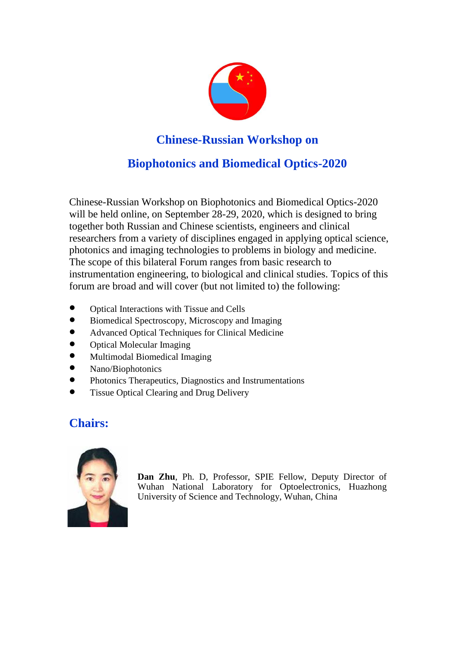

# **Chinese-Russian Workshop on**

## **Biophotonics and Biomedical Optics-2020**

Chinese-Russian Workshop on Biophotonics and Biomedical Optics-2020 will be held online, on September 28-29, 2020, which is designed to bring together both Russian and Chinese scientists, engineers and clinical researchers from a variety of disciplines engaged in applying optical science, photonics and imaging technologies to problems in biology and medicine. The scope of this bilateral Forum ranges from basic research to instrumentation engineering, to biological and clinical studies. Topics of this forum are broad and will cover (but not limited to) the following:

- Optical Interactions with Tissue and Cells
- Biomedical Spectroscopy, Microscopy and Imaging
- Advanced Optical Techniques for Clinical Medicine
- Optical Molecular Imaging
- Multimodal Biomedical Imaging
- Nano/Biophotonics
- Photonics Therapeutics, Diagnostics and Instrumentations
- Tissue Optical Clearing and Drug Delivery

## **Chairs:**



**Dan Zhu**, Ph. D, Professor, SPIE Fellow, Deputy Director of Wuhan National Laboratory for Optoelectronics, Huazhong University of Science and Technology, Wuhan, China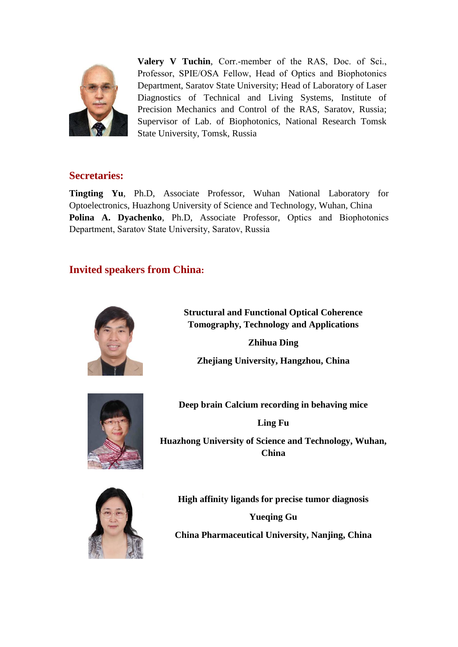

**Valery V Tuchin**, Corr.-member of the RAS, Doc. of Sci., Professor, SPIE/OSA Fellow, Head of Optics and Biophotonics Department, Saratov State University; Head of Laboratory of Laser Diagnostics of Technical and Living Systems, Institute of Precision Mechanics and Control of the RAS, Saratov, Russia; Supervisor of Lab. of Biophotonics, National Research Tomsk State University, Tomsk, Russia

### **Secretaries:**

**Tingting Yu**, Ph.D, Associate Professor, Wuhan National Laboratory for Optoelectronics, Huazhong University of Science and Technology, Wuhan, China **Polina A. Dyachenko**, Ph.D, Associate Professor, Optics and Biophotonics Department, Saratov State University, Saratov, Russia

### **Invited speakers from China:**



**Structural and Functional Optical Coherence Tomography, Technology and Applications**

**Zhihua Ding Zhejiang University, Hangzhou, China**



**Deep brain Calcium recording in behaving mice**

**Ling Fu**

**Huazhong University of Science and Technology, Wuhan, China**



**High affinity ligands for precise tumor diagnosis Yueqing Gu China Pharmaceutical University, Nanjing, China**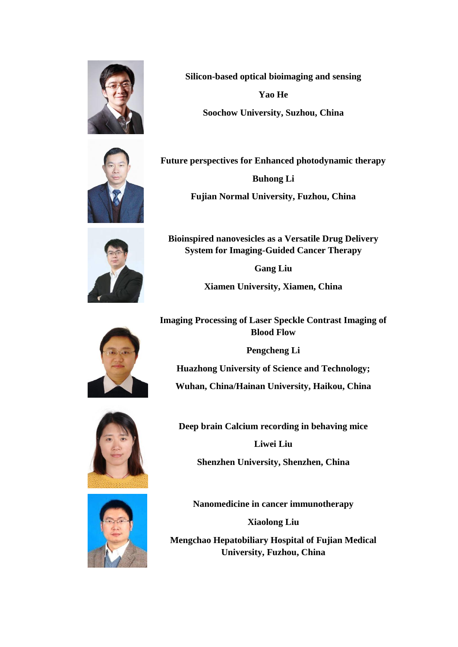

**Silicon-based optical bioimaging and sensing Yao He Soochow University, Suzhou, China**



**Future perspectives for Enhanced photodynamic therapy Buhong Li Fujian Normal University, Fuzhou, China**



**Bioinspired nanovesicles as a Versatile Drug Delivery System for Imaging-Guided Cancer Therapy**

> **Gang Liu Xiamen University, Xiamen, China**

**Imaging Processing of Laser Speckle Contrast Imaging of Blood Flow**

**Pengcheng Li**

**Huazhong University of Science and Technology; Wuhan, China/Hainan University, Haikou, China**





**Deep brain Calcium recording in behaving mice Liwei Liu Shenzhen University, Shenzhen, China**

**Nanomedicine in cancer immunotherapy**

**Xiaolong Liu Mengchao Hepatobiliary Hospital of Fujian Medical University, Fuzhou, China**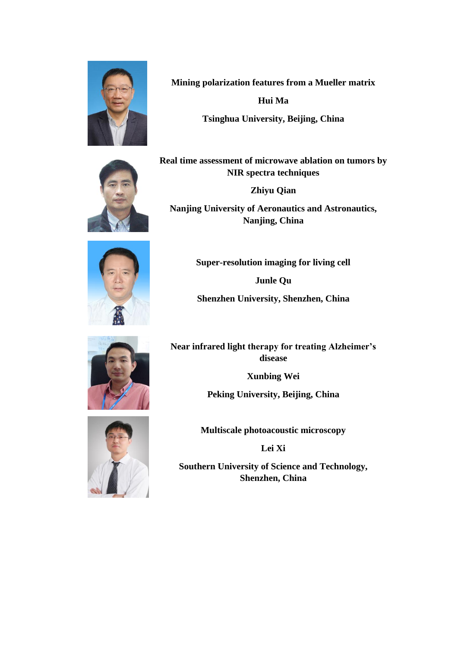

**Mining polarization features from a Mueller matrix Hui Ma Tsinghua University, Beijing, China**



**Real time assessment of microwave ablation on tumors by NIR spectra techniques**

**Zhiyu Qian**

**Nanjing University of Aeronautics and Astronautics, Nanjing, China**



**Super-resolution imaging for living cell Junle Qu Shenzhen University, Shenzhen, China**





**Near infrared light therapy for treating Alzheimer's disease**

**Xunbing Wei**

**Peking University, Beijing, China**

**Multiscale photoacoustic microscopy**

**Lei Xi**

**Southern University of Science and Technology, Shenzhen, China**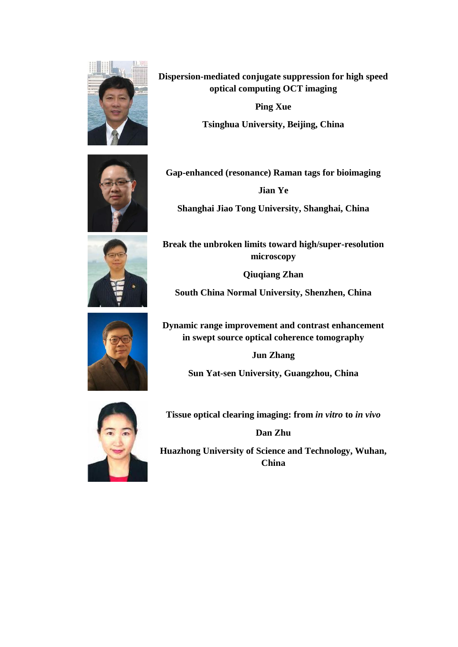

**Dispersion-mediated conjugate suppression for high speed optical computing OCT imaging Ping Xue**

**Tsinghua University, Beijing, China**



**Gap-enhanced (resonance) Raman tags for bioimaging Jian Ye Shanghai Jiao Tong University, Shanghai, China**



**Break the unbroken limits toward high/super-resolution microscopy**

**Qiuqiang Zhan**

**South China Normal University, Shenzhen, China**

**Dynamic range improvement and contrast enhancement in swept source optical coherence tomography**

> **Jun Zhang Sun Yat-sen University, Guangzhou, China**



**Tissue optical clearing imaging: from** *in vitro* **to** *in vivo*

**Dan Zhu**

**Huazhong University of Science and Technology, Wuhan, China**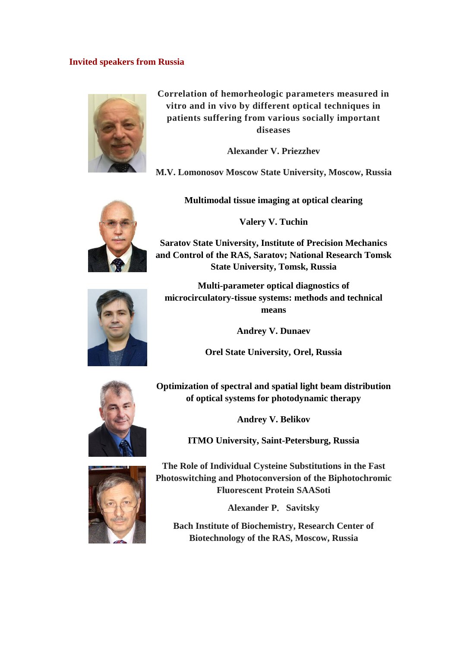#### **Invited speakers from Russia**



**Correlation of hemorheologic parameters measured in vitro and in vivo by different optical techniques in patients suffering from various socially important diseases**

**Alexander V. Priezzhev**

**M.V. Lomonosov Moscow State University, Moscow, Russia**

**Multimodal tissue imaging at optical clearing**

**Valery V. Tuchin**

**Saratov State University, Institute of Precision Mechanics and Control of the RAS, Saratov; National Research Tomsk State University, Tomsk, Russia**

**Multi-parameter optical diagnostics of microcirculatory-tissue systems: methods and technical means**

**Andrey V. Dunaev**

**Orel State University, Orel, Russia**



**Optimization of spectral and spatial light beam distribution of optical systems for photodynamic therapy**

**Andrey V. Belikov**

**ITMO University, Saint-Petersburg, Russia**



**The Role of Individual Cysteine Substitutions in the Fast Photoswitching and Photoconversion of the Biphotochromic Fluorescent Protein SAASoti**

**Alexander P**. **Savitsky**

**Bach Institute of Biochemistry, Research Center of Biotechnology of the RAS, Moscow, Russia**

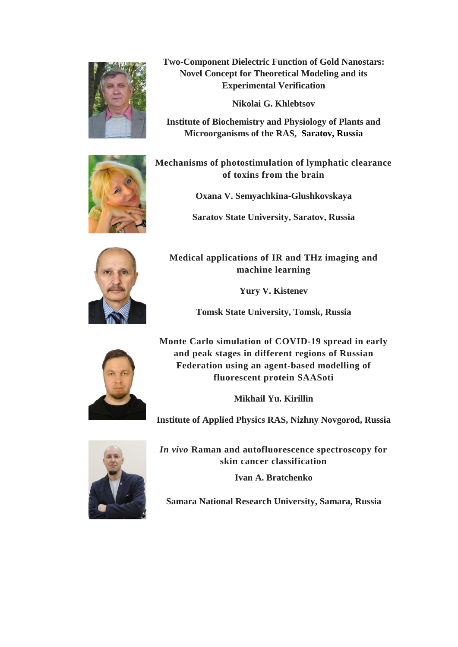

**Two-Component Dielectric Function of Gold Nanostars: Novel Concept for Theoretical Modeling and its Experimental Verification**

**Nikolai G. Khlebtsov**

**Institute of Biochemistry and Physiology of Plants and Microorganisms of the RAS, Saratov, Russia**



**Mechanisms of photostimulation of lymphatic clearance of toxins from the brain**

**Oxana V. Semyachkina-Glushkovskaya**

**Saratov State University, Saratov, Russia**



**Medical applications of IR and THz imaging and machine learning**

**Yury V. Kistenev**

**Tomsk State University, Tomsk, Russia**



**Monte Carlo simulation of COVID-19 spread in early and peak stages in different regions of Russian Federation using an agent-based modelling of fluorescent protein SAASoti**

**Mikhail Yu. Kirillin**

**Institute of Applied Physics RAS, Nizhny Novgorod, Russia**



*In vivo* **Raman and autofluorescence spectroscopy for skin cancer classification**

**Ivan A. Bratchenko**

**Samara National Research University, Samara, Russia**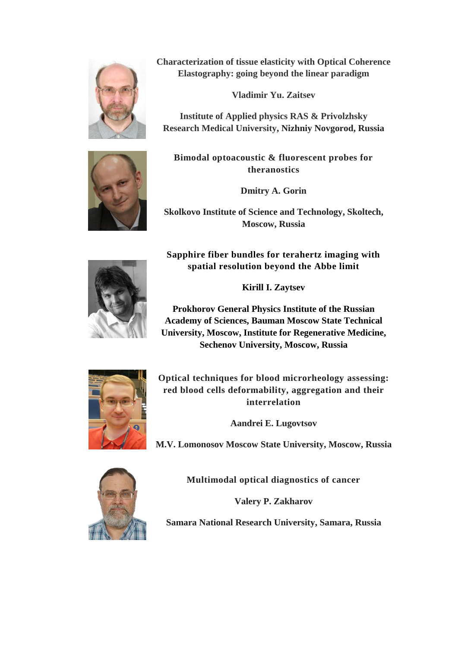

**Characterization of tissue elasticity with Optical Coherence Elastography: going beyond the linear paradigm**

**Vladimir Yu. Zaitsev**

**Institute of Applied physics RAS & Privolzhsky Research Medical University, Nizhniy Novgorod, Russia**



**Bimodal optoacoustic & fluorescent probes for theranostics**

**Dmitry A. Gorin**

**Skolkovo Institute of Science and Technology, Skoltech, Moscow, Russia**



**Sapphire fiber bundles for terahertz imaging with spatial resolution beyond the Abbe limit**

**Kirill I. Zaytsev**

**Prokhorov General Physics Institute of the Russian Academy of Sciences, Bauman Moscow State Technical University, Moscow, Institute for Regenerative Medicine, Sechenov University, Moscow, Russia**



**Optical techniques for blood microrheology assessing: red blood cells deformability, aggregation and their interrelation**

**Aandrei E. Lugovtsov**

**M.V. Lomonosov Moscow State University, Moscow, Russia**



**Multimodal optical diagnostics of cancer**

**Valery P. Zakharov**

**Samara National Research University, Samara, Russia**